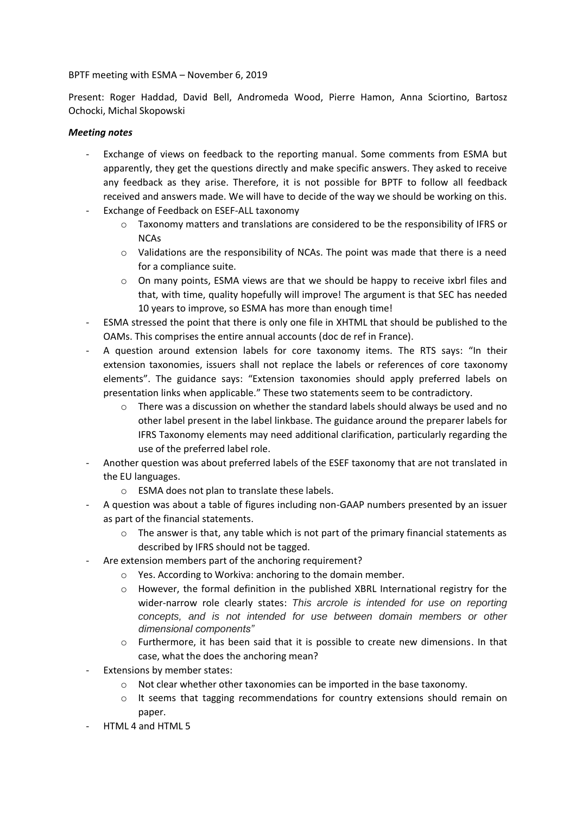## BPTF meeting with ESMA – November 6, 2019

Present: Roger Haddad, David Bell, Andromeda Wood, Pierre Hamon, Anna Sciortino, Bartosz Ochocki, Michal Skopowski

## *Meeting notes*

- Exchange of views on feedback to the reporting manual. Some comments from ESMA but apparently, they get the questions directly and make specific answers. They asked to receive any feedback as they arise. Therefore, it is not possible for BPTF to follow all feedback received and answers made. We will have to decide of the way we should be working on this.
- Exchange of Feedback on ESEF-ALL taxonomy
	- $\circ$  Taxonomy matters and translations are considered to be the responsibility of IFRS or **NCAs**
	- $\circ$  Validations are the responsibility of NCAs. The point was made that there is a need for a compliance suite.
	- $\circ$  On many points, ESMA views are that we should be happy to receive ixbrl files and that, with time, quality hopefully will improve! The argument is that SEC has needed 10 years to improve, so ESMA has more than enough time!
- ESMA stressed the point that there is only one file in XHTML that should be published to the OAMs. This comprises the entire annual accounts (doc de ref in France).
- A question around extension labels for core taxonomy items. The RTS says: "In their extension taxonomies, issuers shall not replace the labels or references of core taxonomy elements". The guidance says: "Extension taxonomies should apply preferred labels on presentation links when applicable." These two statements seem to be contradictory.
	- $\circ$  There was a discussion on whether the standard labels should always be used and no other label present in the label linkbase. The guidance around the preparer labels for IFRS Taxonomy elements may need additional clarification, particularly regarding the use of the preferred label role.
- Another question was about preferred labels of the ESEF taxonomy that are not translated in the EU languages.
	- o ESMA does not plan to translate these labels.
- A question was about a table of figures including non-GAAP numbers presented by an issuer as part of the financial statements.
	- $\circ$  The answer is that, any table which is not part of the primary financial statements as described by IFRS should not be tagged.
- Are extension members part of the anchoring requirement?
	- o Yes. According to Workiva: anchoring to the domain member.
	- $\circ$  However, the formal definition in the published XBRL International registry for the wider-narrow role clearly states: *This arcrole is intended for use on reporting concepts, and is not intended for use between domain members or other dimensional components"*
	- $\circ$  Furthermore, it has been said that it is possible to create new dimensions. In that case, what the does the anchoring mean?
- Extensions by member states:
	- o Not clear whether other taxonomies can be imported in the base taxonomy.
	- $\circ$  It seems that tagging recommendations for country extensions should remain on paper.
- HTML 4 and HTML 5